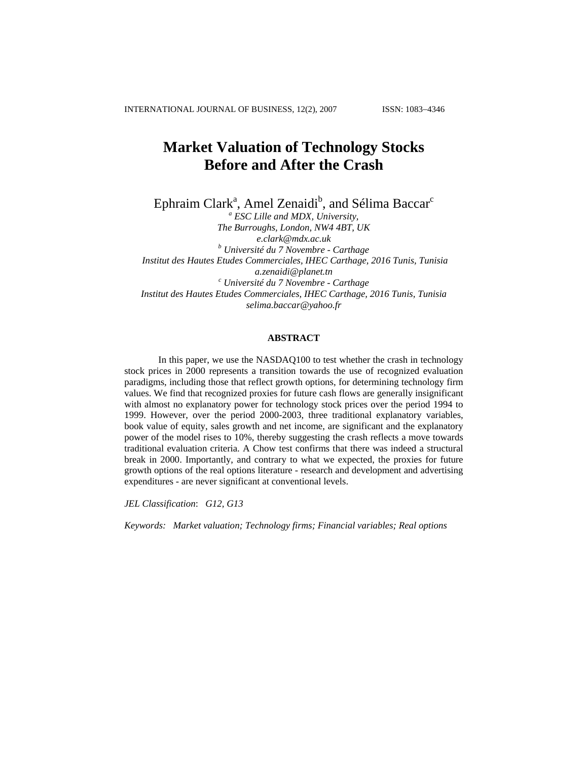# **Market Valuation of Technology Stocks Before and After the Crash**

Ephraim Clark<sup>a</sup>, Amel Zenaidi<sup>b</sup>, and Sélima Baccar<sup>c</sup>

*a ESC Lille and MDX, University, The Burroughs, London, NW4 4BT, UK [e.clark@mdx.ac.uk](mailto:e.clark@mdx.ac.uk) <sup>b</sup> Université du 7 Novembre - Carthage Institut des Hautes Etudes Commerciales, IHEC Carthage, 2016 Tunis, Tunisia [a.zenaidi@planet.tn](mailto:a.zenaidi@planet.tn) c Université du 7 Novembre - Carthage Institut des Hautes Etudes Commerciales, IHEC Carthage, 2016 Tunis, Tunisia [selima.baccar@yahoo.fr](mailto:paradise24fr@yahoo.fr)* 

# **ABSTRACT**

In this paper, we use the NASDAQ100 to test whether the crash in technology stock prices in 2000 represents a transition towards the use of recognized evaluation paradigms, including those that reflect growth options, for determining technology firm values. We find that recognized proxies for future cash flows are generally insignificant with almost no explanatory power for technology stock prices over the period 1994 to 1999. However, over the period 2000-2003, three traditional explanatory variables, book value of equity, sales growth and net income, are significant and the explanatory power of the model rises to 10%, thereby suggesting the crash reflects a move towards traditional evaluation criteria. A Chow test confirms that there was indeed a structural break in 2000. Importantly, and contrary to what we expected, the proxies for future growth options of the real options literature - research and development and advertising expenditures - are never significant at conventional levels.

*JEL Classification*: *G12, G13* 

*Keywords: Market valuation; Technology firms; Financial variables; Real options*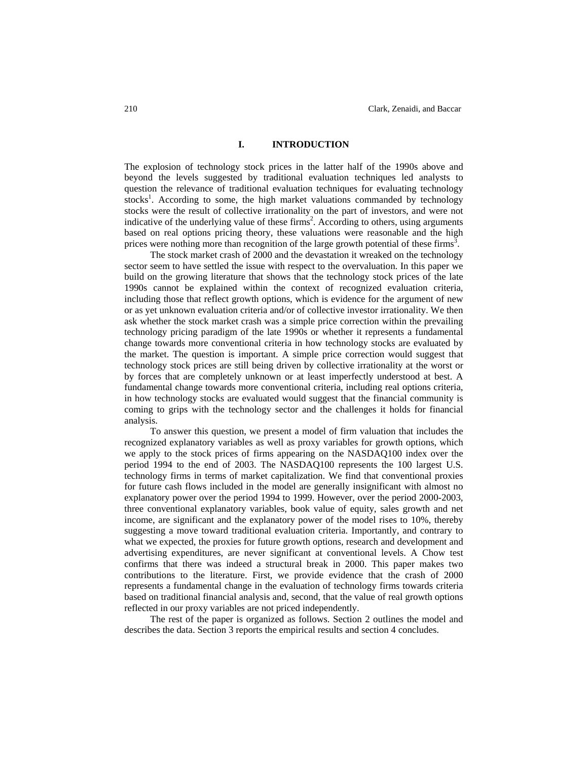#### **I. INTRODUCTION**

The explosion of technology stock prices in the latter half of the 1990s above and beyond the levels suggested by traditional evaluation techniques led analysts to question the relevance of traditional evaluation techniques for evaluating technology stocks<sup>1</sup>. According to some, the high market valuations commanded by technology stocks were the result of collective irrationality on the part of investors, and were not indicative of the underlying value of these  $firms<sup>2</sup>$ . According to others, using arguments based on real options pricing theory, these valuations were reasonable and the high prices were nothing more than recognition of the large growth potential of these firms<sup>3</sup>.

The stock market crash of 2000 and the devastation it wreaked on the technology sector seem to have settled the issue with respect to the overvaluation. In this paper we build on the growing literature that shows that the technology stock prices of the late 1990s cannot be explained within the context of recognized evaluation criteria, including those that reflect growth options, which is evidence for the argument of new or as yet unknown evaluation criteria and/or of collective investor irrationality. We then ask whether the stock market crash was a simple price correction within the prevailing technology pricing paradigm of the late 1990s or whether it represents a fundamental change towards more conventional criteria in how technology stocks are evaluated by the market. The question is important. A simple price correction would suggest that technology stock prices are still being driven by collective irrationality at the worst or by forces that are completely unknown or at least imperfectly understood at best. A fundamental change towards more conventional criteria, including real options criteria, in how technology stocks are evaluated would suggest that the financial community is coming to grips with the technology sector and the challenges it holds for financial analysis.

To answer this question, we present a model of firm valuation that includes the recognized explanatory variables as well as proxy variables for growth options, which we apply to the stock prices of firms appearing on the NASDAQ100 index over the period 1994 to the end of 2003. The NASDAQ100 represents the 100 largest U.S. technology firms in terms of market capitalization. We find that conventional proxies for future cash flows included in the model are generally insignificant with almost no explanatory power over the period 1994 to 1999. However, over the period 2000-2003, three conventional explanatory variables, book value of equity, sales growth and net income, are significant and the explanatory power of the model rises to 10%, thereby suggesting a move toward traditional evaluation criteria. Importantly, and contrary to what we expected, the proxies for future growth options, research and development and advertising expenditures, are never significant at conventional levels. A Chow test confirms that there was indeed a structural break in 2000. This paper makes two contributions to the literature. First, we provide evidence that the crash of 2000 represents a fundamental change in the evaluation of technology firms towards criteria based on traditional financial analysis and, second, that the value of real growth options reflected in our proxy variables are not priced independently.

The rest of the paper is organized as follows. Section 2 outlines the model and describes the data. Section 3 reports the empirical results and section 4 concludes.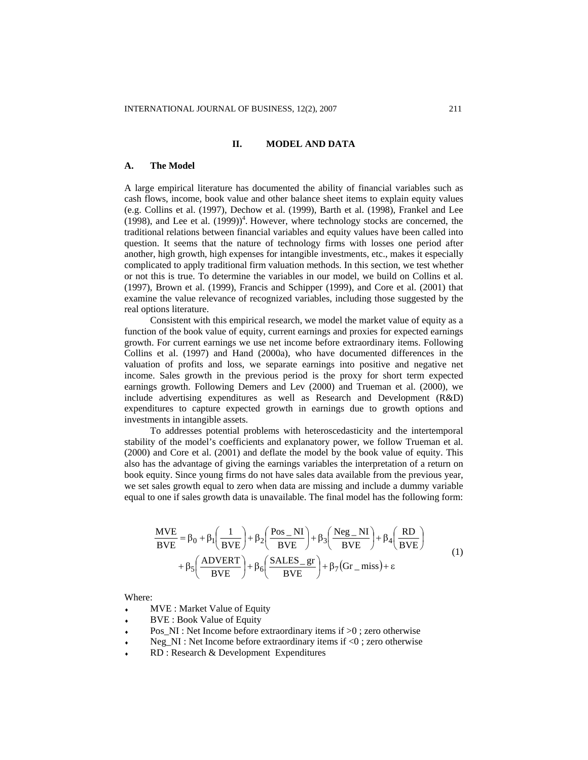## **II. MODEL AND DATA**

#### **A. The Model**

A large empirical literature has documented the ability of financial variables such as cash flows, income, book value and other balance sheet items to explain equity values (e.g. Collins et al. (1997), Dechow et al. (1999), Barth et al. (1998), Frankel and Lee  $(1998)$ , and Lee et al.  $(1999)$ <sup>4</sup>. However, where technology stocks are concerned, the traditional relations between financial variables and equity values have been called into question. It seems that the nature of technology firms with losses one period after another, high growth, high expenses for intangible investments, etc., makes it especially complicated to apply traditional firm valuation methods. In this section, we test whether or not this is true. To determine the variables in our model, we build on Collins et al. (1997), Brown et al. (1999), Francis and Schipper (1999), and Core et al. (2001) that examine the value relevance of recognized variables, including those suggested by the real options literature.

Consistent with this empirical research, we model the market value of equity as a function of the book value of equity, current earnings and proxies for expected earnings growth. For current earnings we use net income before extraordinary items. Following Collins et al. (1997) and Hand (2000a), who have documented differences in the valuation of profits and loss, we separate earnings into positive and negative net income. Sales growth in the previous period is the proxy for short term expected earnings growth. Following Demers and Lev (2000) and Trueman et al. (2000), we include advertising expenditures as well as Research and Development (R&D) expenditures to capture expected growth in earnings due to growth options and investments in intangible assets.

To addresses potential problems with heteroscedasticity and the intertemporal stability of the model's coefficients and explanatory power, we follow Trueman et al. (2000) and Core et al. (2001) and deflate the model by the book value of equity. This also has the advantage of giving the earnings variables the interpretation of a return on book equity. Since young firms do not have sales data available from the previous year, we set sales growth equal to zero when data are missing and include a dummy variable equal to one if sales growth data is unavailable. The final model has the following form:

$$
\frac{\text{MVE}}{\text{BVE}} = \beta_0 + \beta_1 \left(\frac{1}{\text{BVE}}\right) + \beta_2 \left(\frac{\text{Pos\_NI}}{\text{BVE}}\right) + \beta_3 \left(\frac{\text{Neg\_NI}}{\text{BVE}}\right) + \beta_4 \left(\frac{\text{RD}}{\text{BVE}}\right) + \beta_5 \left(\frac{\text{ADVERT}}{\text{BVE}}\right) + \beta_6 \left(\frac{\text{SALES\_gr}}{\text{BVE}}\right) + \beta_7 \left(\text{Gr\_miss}\right) + \epsilon \tag{1}
$$

Where:

- MVE : Market Value of Equity
- ♦ BVE : Book Value of Equity
- ♦ Pos  $NI$ : Net Income before extraordinary items if  $>0$  ; zero otherwise
- ♦ Neg\_NI : Net Income before extraordinary items if <0; zero otherwise
- ♦ RD : Research & Development Expenditures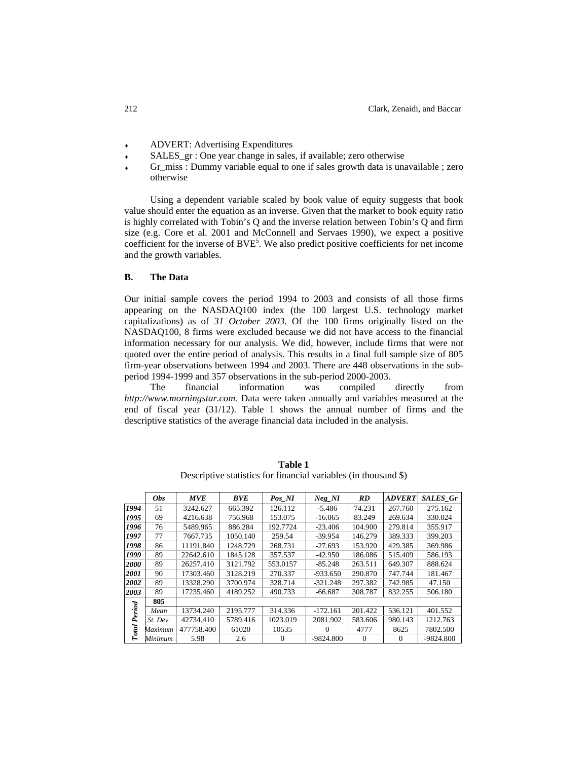- ♦ ADVERT: Advertising Expenditures
- ♦ SALES\_gr : One year change in sales, if available; zero otherwise
- ♦ Gr miss : Dummy variable equal to one if sales growth data is unavailable ; zero otherwise

Using a dependent variable scaled by book value of equity suggests that book value should enter the equation as an inverse. Given that the market to book equity ratio is highly correlated with Tobin's Q and the inverse relation between Tobin's Q and firm size (e.g. Core et al. 2001 and McConnell and Servaes 1990), we expect a positive coefficient for the inverse of  $BVE<sup>5</sup>$ . We also predict positive coefficients for net income and the growth variables.

## **B. The Data**

Our initial sample covers the period 1994 to 2003 and consists of all those firms appearing on the NASDAQ100 index (the 100 largest U.S. technology market capitalizations) as of *31 October 2003*. Of the 100 firms originally listed on the NASDAQ100, 8 firms were excluded because we did not have access to the financial information necessary for our analysis. We did, however, include firms that were not quoted over the entire period of analysis. This results in a final full sample size of 805 firm-year observations between 1994 and 2003. There are 448 observations in the subperiod 1994-1999 and 357 observations in the sub-period 2000-2003.

The financial information was compiled directly from *http:/[/www.morningstar.com](http://www.morningstar.com/).* Data were taken annually and variables measured at the end of fiscal year (31/12). Table 1 shows the annual number of firms and the descriptive statistics of the average financial data included in the analysis.

|              | <b>Obs</b> | <b>MVE</b> | <b>BVE</b> | Pos NI   | $Neg_NI$   | RD       | <b>ADVERT</b> | <b>SALES Gr</b> |
|--------------|------------|------------|------------|----------|------------|----------|---------------|-----------------|
| 1994         | 51         | 3242.627   | 665.392    | 126.112  | $-5.486$   | 74.231   | 267.760       | 275.162         |
| 1995         | 69         | 4216.638   | 756.968    | 153.075  | $-16.065$  | 83.249   | 269.634       | 330.024         |
| 1996         | 76         | 5489.965   | 886.284    | 192.7724 | $-23.406$  | 104.900  | 279.814       | 355.917         |
| 1997         | 77         | 7667.735   | 1050.140   | 259.54   | $-39.954$  | 146.279  | 389.333       | 399.203         |
| 1998         | 86         | 11191.840  | 1248.729   | 268.731  | $-27.693$  | 153.920  | 429.385       | 369.986         |
| 1999         | 89         | 22642.610  | 1845.128   | 357.537  | $-42.950$  | 186.086  | 515.409       | 586.193         |
| 2000         | 89         | 26257.410  | 3121.792   | 553.0157 | $-85.248$  | 263.511  | 649.307       | 888.624         |
| 2001         | 90         | 17303.460  | 3128.219   | 270.337  | $-933.650$ | 290.870  | 747.744       | 181.467         |
| 2002         | 89         | 13328.290  | 3700.974   | 328.714  | $-321.248$ | 297.382  | 742.985       | 47.150          |
| 2003         | 89         | 17235.460  | 4189.252   | 490.733  | $-66.687$  | 308.787  | 832.255       | 506.180         |
|              | 805        |            |            |          |            |          |               |                 |
| Period       | Mean       | 13734.240  | 2195.777   | 314.336  | $-172.161$ | 201.422  | 536.121       | 401.552         |
|              | St. Dev.   | 42734.410  | 5789.416   | 1023.019 | 2081.902   | 583.606  | 980.143       | 1212.763        |
| <b>Total</b> | Maximum    | 477758.400 | 61020      | 10535    | $\Omega$   | 4777     | 8625          | 7802.500        |
|              | Minimum    | 5.98       | 2.6        | 0        | -9824.800  | $\Omega$ | 0             | $-9824.800$     |

**Table 1**  Descriptive statistics for financial variables (in thousand \$)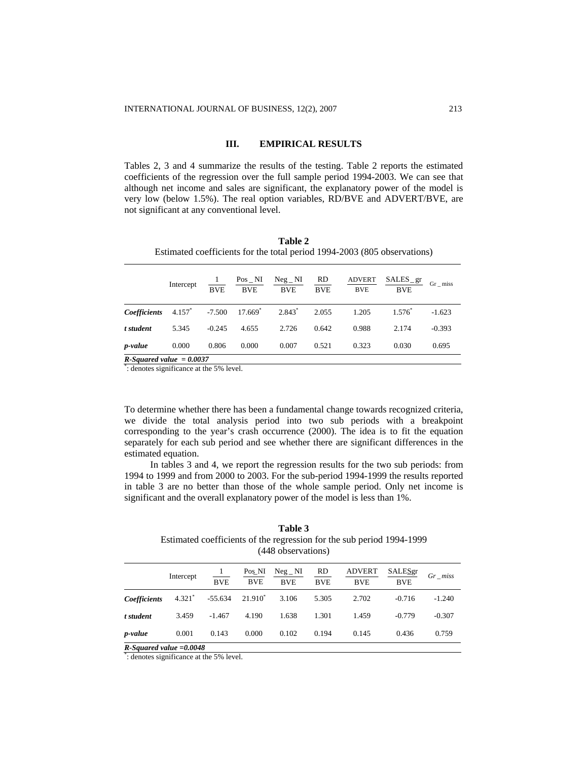# **III. EMPIRICAL RESULTS**

Tables 2, 3 and 4 summarize the results of the testing. Table 2 reports the estimated coefficients of the regression over the full sample period 1994-2003. We can see that although net income and sales are significant, the explanatory power of the model is very low (below 1.5%). The real option variables, RD/BVE and ADVERT/BVE, are not significant at any conventional level.

| Table 2                                                                  |  |
|--------------------------------------------------------------------------|--|
| Estimated coefficients for the total period 1994-2003 (805 observations) |  |

|                     | Intercept | <b>BVE</b> | $Pos$ _ NI<br><b>BVE</b> | $Neg_NI$<br><b>BVE</b> | RD<br><b>BVE</b> | <b>ADVERT</b><br><b>BVE</b> | $SALES\_gr$<br><b>BVE</b> | $Gr_{}$ miss |
|---------------------|-----------|------------|--------------------------|------------------------|------------------|-----------------------------|---------------------------|--------------|
| <b>Coefficients</b> | $4.157^*$ | $-7.500$   | $17.669$ <sup>*</sup>    | 2.843 <sup>*</sup>     | 2.055            | 1.205                       | $1.576^*$                 | $-1.623$     |
| t student           | 5.345     | $-0.245$   | 4.655                    | 2.726                  | 0.642            | 0.988                       | 2.174                     | $-0.393$     |
| p-value             | 0.000     | 0.806      | 0.000                    | 0.007                  | 0.521            | 0.323                       | 0.030                     | 0.695        |

*R-Squared value = 0.0037* 

\* : denotes significance at the 5% level.

To determine whether there has been a fundamental change towards recognized criteria, we divide the total analysis period into two sub periods with a breakpoint corresponding to the year's crash occurrence (2000). The idea is to fit the equation separately for each sub period and see whether there are significant differences in the estimated equation.

In tables 3 and 4, we report the regression results for the two sub periods: from 1994 to 1999 and from 2000 to 2003. For the sub-period 1994-1999 the results reported in table 3 are no better than those of the whole sample period. Only net income is significant and the overall explanatory power of the model is less than 1%.

## **Table 3**  Estimated coefficients of the regression for the sub period 1994-1999 (448 observations)

|                            | Intercept | <b>BVE</b> | Pos_NI<br><b>BVE</b> | $Neg_NI$<br><b>BVE</b> | <b>RD</b><br><b>BVE</b> | <b>ADVERT</b><br><b>BVE</b> | SALESgr<br><b>BVE</b> | Gr miss  |
|----------------------------|-----------|------------|----------------------|------------------------|-------------------------|-----------------------------|-----------------------|----------|
| <b>Coefficients</b>        | $4.321*$  | $-55.634$  | $21.910^*$           | 3.106                  | 5.305                   | 2.702                       | $-0.716$              | $-1.240$ |
| t student                  | 3.459     | $-1.467$   | 4.190                | 1.638                  | 1.301                   | 1.459                       | $-0.779$              | $-0.307$ |
| p-value                    | 0.001     | 0.143      | 0.000                | 0.102                  | 0.194                   | 0.145                       | 0.436                 | 0.759    |
| $R-Squared value = 0.0048$ |           |            |                      |                        |                         |                             |                       |          |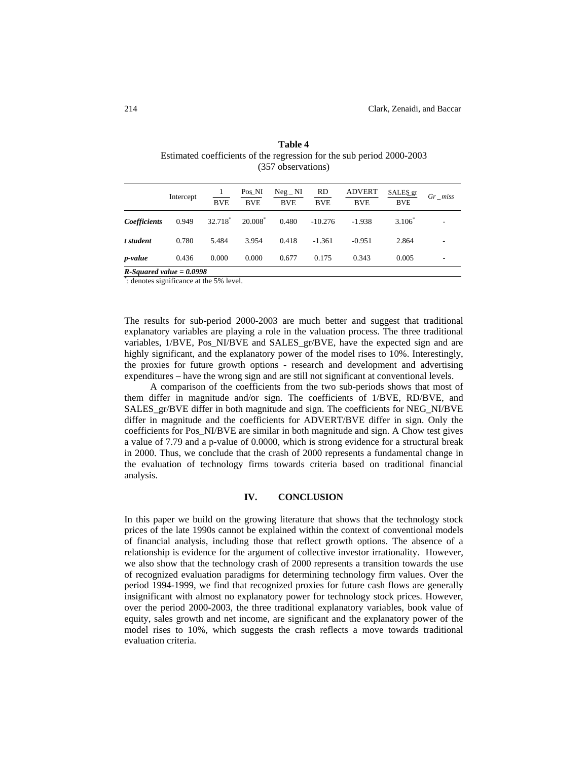|              | Intercept | 1<br><b>BVE</b> | Pos_NI<br><b>BVE</b> | $Neg_NI$<br><b>BVE</b> | <b>RD</b><br><b>BVE</b> | <b>ADVERT</b><br><b>BVE</b> | SALES_gr<br><b>BVE</b> | $Gr\_miss$ |
|--------------|-----------|-----------------|----------------------|------------------------|-------------------------|-----------------------------|------------------------|------------|
| Coefficients | 0.949     | 32.718          | $20.008^*$           | 0.480                  | $-10.276$               | $-1.938$                    | $3.106*$               |            |
| t student    | 0.780     | 5.484           | 3.954                | 0.418                  | $-1.361$                | $-0.951$                    | 2.864                  |            |
| p-value      | 0.436     | 0.000           | 0.000                | 0.677                  | 0.175                   | 0.343                       | 0.005                  |            |

# **Table 4**  Estimated coefficients of the regression for the sub period 2000-2003 (357 observations)

\* : denotes significance at the 5% level.

The results for sub-period 2000-2003 are much better and suggest that traditional explanatory variables are playing a role in the valuation process. The three traditional variables, 1/BVE, Pos\_NI/BVE and SALES\_gr/BVE, have the expected sign and are highly significant, and the explanatory power of the model rises to 10%. Interestingly, the proxies for future growth options - research and development and advertising expenditures – have the wrong sign and are still not significant at conventional levels.

A comparison of the coefficients from the two sub-periods shows that most of them differ in magnitude and/or sign. The coefficients of 1/BVE, RD/BVE, and SALES\_gr/BVE differ in both magnitude and sign. The coefficients for NEG\_NI/BVE differ in magnitude and the coefficients for ADVERT/BVE differ in sign. Only the coefficients for Pos\_NI/BVE are similar in both magnitude and sign. A Chow test gives a value of 7.79 and a p-value of 0.0000, which is strong evidence for a structural break in 2000. Thus, we conclude that the crash of 2000 represents a fundamental change in the evaluation of technology firms towards criteria based on traditional financial analysis.

## **IV. CONCLUSION**

In this paper we build on the growing literature that shows that the technology stock prices of the late 1990s cannot be explained within the context of conventional models of financial analysis, including those that reflect growth options. The absence of a relationship is evidence for the argument of collective investor irrationality. However, we also show that the technology crash of 2000 represents a transition towards the use of recognized evaluation paradigms for determining technology firm values. Over the period 1994-1999, we find that recognized proxies for future cash flows are generally insignificant with almost no explanatory power for technology stock prices. However, over the period 2000-2003, the three traditional explanatory variables, book value of equity, sales growth and net income, are significant and the explanatory power of the model rises to 10%, which suggests the crash reflects a move towards traditional evaluation criteria.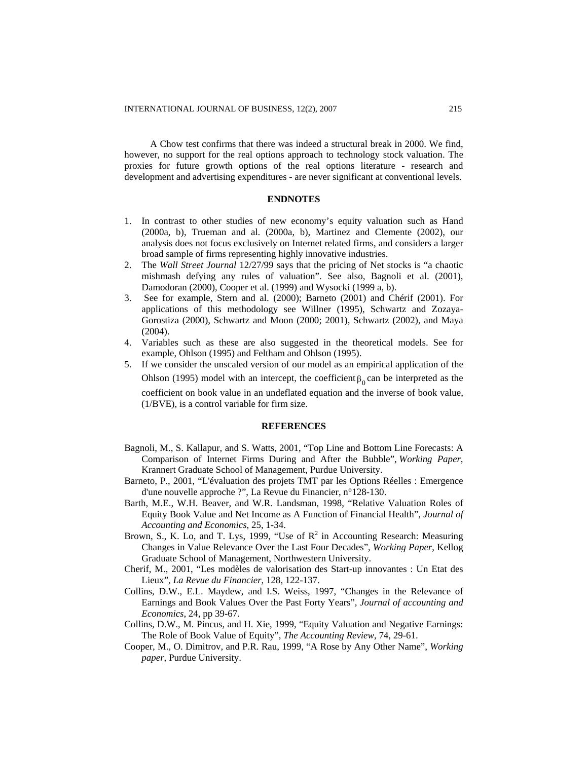A Chow test confirms that there was indeed a structural break in 2000. We find, however, no support for the real options approach to technology stock valuation. The proxies for future growth options of the real options literature - research and development and advertising expenditures - are never significant at conventional levels.

### **ENDNOTES**

- 1. In contrast to other studies of new economy's equity valuation such as Hand (2000a, b), Trueman and al. (2000a, b), Martinez and Clemente (2002), our analysis does not focus exclusively on Internet related firms, and considers a larger broad sample of firms representing highly innovative industries.
- 2. The *Wall Street Journal* 12/27/99 says that the pricing of Net stocks is "a chaotic mishmash defying any rules of valuation". See also, Bagnoli et al. (2001), Damodoran (2000), Cooper et al. (1999) and Wysocki (1999 a, b).
- 3. See for example, Stern and al. (2000); Barneto (2001) and Chérif (2001). For applications of this methodology see Willner (1995), Schwartz and Zozaya-Gorostiza (2000), Schwartz and Moon (2000; 2001), Schwartz (2002), and Maya (2004).
- 4. Variables such as these are also suggested in the theoretical models. See for example, Ohlson (1995) and Feltham and Ohlson (1995).
- 5. If we consider the unscaled version of our model as an empirical application of the Ohlson (1995) model with an intercept, the coefficient  $\beta_0$  can be interpreted as the coefficient on book value in an undeflated equation and the inverse of book value, (1/BVE), is a control variable for firm size.

#### **REFERENCES**

- Bagnoli, M., S. Kallapur, and S. Watts, 2001, "Top Line and Bottom Line Forecasts: A Comparison of Internet Firms During and After the Bubble", *Working Paper*, Krannert Graduate School of Management, Purdue University.
- Barneto, P., 2001, "L'évaluation des projets TMT par les Options Réelles : Emergence d'une nouvelle approche ?", La Revue du Financier, n°128-130.
- Barth, M.E., W.H. Beaver, and W.R. Landsman, 1998, "Relative Valuation Roles of Equity Book Value and Net Income as A Function of Financial Health", *Journal of Accounting and Economics*, 25, 1-34.
- Brown, S., K. Lo, and T. Lys, 1999, "Use of  $\mathbb{R}^2$  in Accounting Research: Measuring Changes in Value Relevance Over the Last Four Decades", *Working Paper*, Kellog Graduate School of Management, Northwestern University.
- Cherif, M., 2001, "Les modèles de valorisation des Start-up innovantes : Un Etat des Lieux", *La Revue du Financier*, 128, 122-137.
- Collins, D.W., E.L. Maydew, and I.S. Weiss, 1997, "Changes in the Relevance of Earnings and Book Values Over the Past Forty Years", *Journal of accounting and Economics*, 24, pp 39-67.
- Collins, D.W., M. Pincus, and H. Xie, 1999, "Equity Valuation and Negative Earnings: The Role of Book Value of Equity", *The Accounting Review*, 74, 29-61.
- Cooper, M., O. Dimitrov, and P.R. Rau, 1999, "A Rose by Any Other Name", *Working paper*, Purdue University.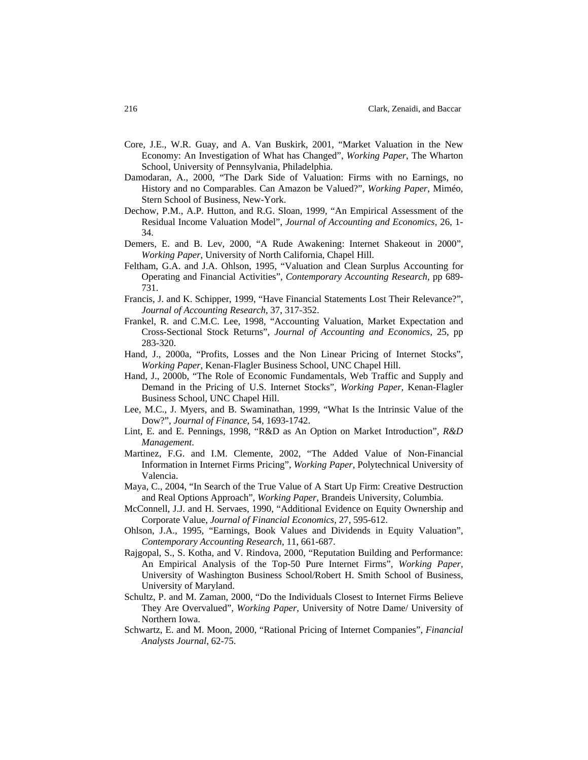- Core, J.E., W.R. Guay, and A. Van Buskirk, 2001, "Market Valuation in the New Economy: An Investigation of What has Changed", *Working Paper*, The Wharton School, University of Pennsylvania, Philadelphia.
- Damodaran, A., 2000, "The Dark Side of Valuation: Firms with no Earnings, no History and no Comparables. Can Amazon be Valued?", *Working Paper*, Miméo, Stern School of Business, New-York.
- Dechow, P.M., A.P. Hutton, and R.G. Sloan, 1999, "An Empirical Assessment of the Residual Income Valuation Model", *Journal of Accounting and Economics,* 26, 1- 34.
- Demers, E. and B. Lev, 2000, "A Rude Awakening: Internet Shakeout in 2000", *Working Paper*, University of North California, Chapel Hill.
- Feltham, G.A. and J.A. Ohlson, 1995, "Valuation and Clean Surplus Accounting for Operating and Financial Activities", *Contemporary Accounting Research*, pp 689- 731.
- Francis, J. and K. Schipper, 1999, "Have Financial Statements Lost Their Relevance?", *Journal of Accounting Research*, 37, 317-352.
- Frankel, R. and C.M.C. Lee, 1998, "Accounting Valuation, Market Expectation and Cross-Sectional Stock Returns", *Journal of Accounting and Economics*, 25, pp 283-320.
- Hand, J., 2000a, "Profits, Losses and the Non Linear Pricing of Internet Stocks", *Working Paper*, Kenan-Flagler Business School, UNC Chapel Hill.
- Hand, J., 2000b, "The Role of Economic Fundamentals, Web Traffic and Supply and Demand in the Pricing of U.S. Internet Stocks", *Working Paper*, Kenan-Flagler Business School, UNC Chapel Hill.
- Lee, M.C., J. Myers, and B. Swaminathan, 1999, "What Is the Intrinsic Value of the Dow?", *Journal of Finance*, 54, 1693-1742.
- Lint, E. and E. Pennings, 1998, "R&D as An Option on Market Introduction", *R&D Management*.
- Martinez, F.G. and I.M. Clemente, 2002, "The Added Value of Non-Financial Information in Internet Firms Pricing", *Working Paper*, Polytechnical University of Valencia.
- Maya, C., 2004, "In Search of the True Value of A Start Up Firm: Creative Destruction and Real Options Approach", *Working Paper*, Brandeis University, Columbia.
- McConnell, J.J. and H. Servaes, 1990, "Additional Evidence on Equity Ownership and Corporate Value, *Journal of Financial Economics*, 27, 595-612.
- Ohlson, J.A., 1995, "Earnings, Book Values and Dividends in Equity Valuation", *Contemporary Accounting Research*, 11, 661-687.
- Rajgopal, S., S. Kotha, and V. Rindova, 2000, "Reputation Building and Performance: An Empirical Analysis of the Top-50 Pure Internet Firms", *Working Paper*, University of Washington Business School/Robert H. Smith School of Business, University of Maryland.
- Schultz, P. and M. Zaman, 2000, "Do the Individuals Closest to Internet Firms Believe They Are Overvalued", *Working Paper*, University of Notre Dame/ University of Northern Iowa.
- Schwartz, E. and M. Moon, 2000, "Rational Pricing of Internet Companies", *Financial Analysts Journal*, 62-75.